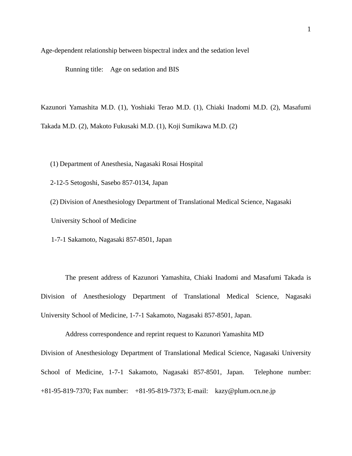Age-dependent relationship between bispectral index and the sedation level

Running title: Age on sedation and BIS

Kazunori Yamashita M.D. (1), Yoshiaki Terao M.D. (1), Chiaki Inadomi M.D. (2), Masafumi Takada M.D. (2), Makoto Fukusaki M.D. (1), Koji Sumikawa M.D. (2)

(1) Department of Anesthesia, Nagasaki Rosai Hospital

2-12-5 Setogoshi, Sasebo 857-0134, Japan

(2) Division of Anesthesiology Department of Translational Medical Science, Nagasaki University School of Medicine

1-7-1 Sakamoto, Nagasaki 857-8501, Japan

The present address of Kazunori Yamashita, Chiaki Inadomi and Masafumi Takada is Division of Anesthesiology Department of Translational Medical Science, Nagasaki University School of Medicine, 1-7-1 Sakamoto, Nagasaki 857-8501, Japan.

Address correspondence and reprint request to Kazunori Yamashita MD

Division of Anesthesiology Department of Translational Medical Science, Nagasaki University School of Medicine, 1-7-1 Sakamoto, Nagasaki 857-8501, Japan. Telephone number: +81-95-819-7370; Fax number: +81-95-819-7373; E-mail: kazy@plum.ocn.ne.jp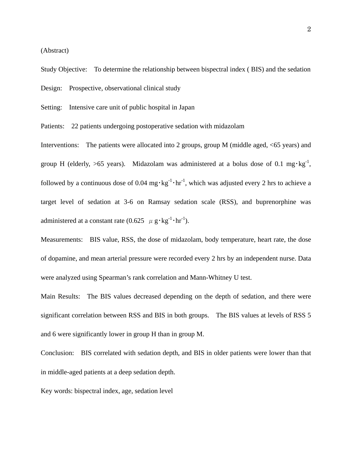(Abstract)

Study Objective: To determine the relationship between bispectral index ( BIS) and the sedation Design: Prospective, observational clinical study

Setting: Intensive care unit of public hospital in Japan

Patients: 22 patients undergoing postoperative sedation with midazolam

Interventions: The patients were allocated into 2 groups, group M (middle aged, <65 years) and group H (elderly,  $>65$  years). Midazolam was administered at a bolus dose of 0.1 mg·kg<sup>-1</sup>, followed by a continuous dose of 0.04 mg $\cdot$ kg<sup>-1</sup> $\cdot$ hr<sup>-1</sup>, which was adjusted every 2 hrs to achieve a target level of sedation at 3-6 on Ramsay sedation scale (RSS), and buprenorphine was administered at a constant rate  $(0.625 \mu g \cdot kg^{-1} \cdot hr^{-1})$ .

Measurements: BIS value, RSS, the dose of midazolam, body temperature, heart rate, the dose of dopamine, and mean arterial pressure were recorded every 2 hrs by an independent nurse. Data were analyzed using Spearman's rank correlation and Mann-Whitney U test.

Main Results: The BIS values decreased depending on the depth of sedation, and there were significant correlation between RSS and BIS in both groups. The BIS values at levels of RSS 5 and 6 were significantly lower in group H than in group M.

Conclusion: BIS correlated with sedation depth, and BIS in older patients were lower than that in middle-aged patients at a deep sedation depth.

Key words: bispectral index, age, sedation level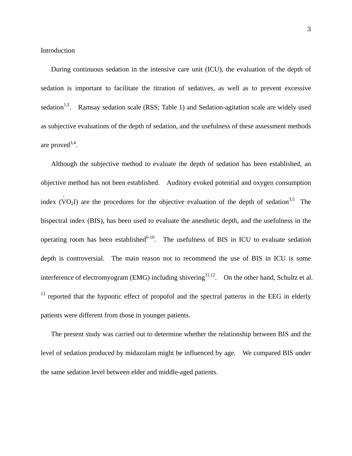During continuous sedation in the intensive care unit (ICU), the evaluation of the depth of sedation is important to facilitate the titration of sedatives, as well as to prevent excessive sedation<sup>1,2</sup>. Ramsay sedation scale (RSS; Table 1) and Sedation-agitation scale are widely used as subjective evaluations of the depth of sedation, and the usefulness of these assessment methods are proved<sup>3,4</sup>.

 Although the subjective method to evaluate the depth of sedation has been established, an objective method has not been established. Auditory evoked potential and oxygen consumption index (V .  $O_2I$ ) are the procedures for the objective evaluation of the depth of sedation<sup>3,5</sup> The bispectral index (BIS), has been used to evaluate the anesthetic depth, and the usefulness in the operating room has been established<sup>6-10</sup>. The usefulness of BIS in ICU to evaluate sedation depth is controversial. The main reason not to recommend the use of BIS in ICU is some interference of electromyogram (EMG) including shivering<sup>11,12</sup>. On the other hand, Schultz et al.  $13$  reported that the hypnotic effect of propofol and the spectral patterns in the EEG in elderly patients were different from those in younger patients.

 The present study was carried out to determine whether the relationship between BIS and the level of sedation produced by midazolam might be influenced by age. We compared BIS under the same sedation level between elder and middle-aged patients.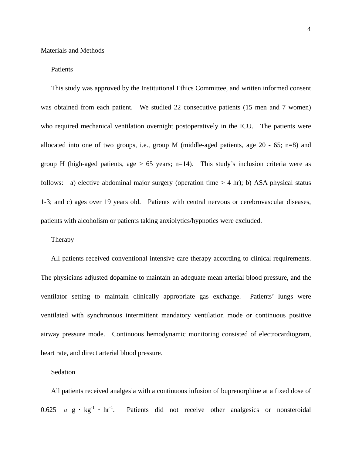### Patients

 This study was approved by the Institutional Ethics Committee, and written informed consent was obtained from each patient. We studied 22 consecutive patients (15 men and 7 women) who required mechanical ventilation overnight postoperatively in the ICU. The patients were allocated into one of two groups, i.e., group M (middle-aged patients, age 20 - 65; n=8) and group H (high-aged patients, age  $> 65$  years; n=14). This study's inclusion criteria were as follows: a) elective abdominal major surgery (operation time  $> 4$  hr); b) ASA physical status 1-3; and c) ages over 19 years old. Patients with central nervous or cerebrovascular diseases, patients with alcoholism or patients taking anxiolytics/hypnotics were excluded.

### Therapy

 All patients received conventional intensive care therapy according to clinical requirements. The physicians adjusted dopamine to maintain an adequate mean arterial blood pressure, and the ventilator setting to maintain clinically appropriate gas exchange. Patients' lungs were ventilated with synchronous intermittent mandatory ventilation mode or continuous positive airway pressure mode. Continuous hemodynamic monitoring consisted of electrocardiogram, heart rate, and direct arterial blood pressure.

### Sedation

 All patients received analgesia with a continuous infusion of buprenorphine at a fixed dose of 0.625  $\mu$  g · kg<sup>-1</sup> · hr<sup>-1</sup>. Patients did not receive other analgesics or nonsteroidal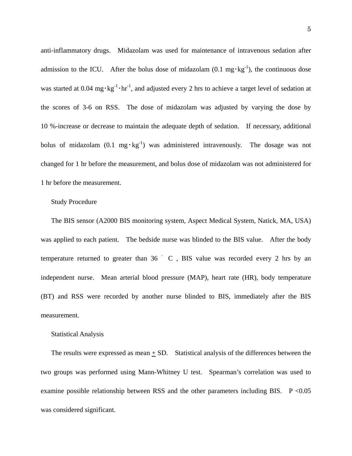anti-inflammatory drugs. Midazolam was used for maintenance of intravenous sedation after admission to the ICU. After the bolus dose of midazolam  $(0.1 \text{ mg} \cdot \text{kg}^{-1})$ , the continuous dose was started at 0.04 mg $\cdot$ kg<sup>-1</sup> $\cdot$ hr<sup>-1</sup>, and adjusted every 2 hrs to achieve a target level of sedation at the scores of 3-6 on RSS. The dose of midazolam was adjusted by varying the dose by 10 %-increase or decrease to maintain the adequate depth of sedation. If necessary, additional bolus of midazolam  $(0.1 \text{ mg} \cdot \text{kg}^{-1})$  was administered intravenously. The dosage was not changed for 1 hr before the measurement, and bolus dose of midazolam was not administered for 1 hr before the measurement.

#### Study Procedure

 The BIS sensor (A2000 BIS monitoring system, Aspect Medical System, Natick, MA, USA) was applied to each patient. The bedside nurse was blinded to the BIS value. After the body temperature returned to greater than  $36 \degree$  C, BIS value was recorded every 2 hrs by an independent nurse. Mean arterial blood pressure (MAP), heart rate (HR), body temperature (BT) and RSS were recorded by another nurse blinded to BIS, immediately after the BIS measurement.

#### Statistical Analysis

The results were expressed as mean  $\pm$  SD. Statistical analysis of the differences between the two groups was performed using Mann-Whitney U test. Spearman's correlation was used to examine possible relationship between RSS and the other parameters including BIS.  $P < 0.05$ was considered significant.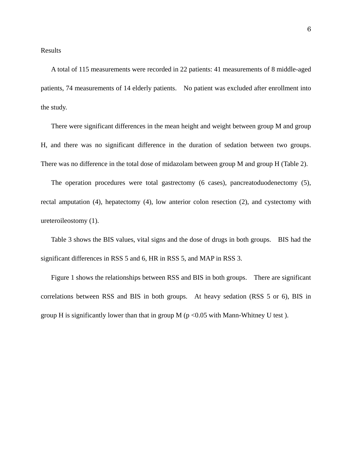A total of 115 measurements were recorded in 22 patients: 41 measurements of 8 middle-aged patients, 74 measurements of 14 elderly patients. No patient was excluded after enrollment into the study.

 There were significant differences in the mean height and weight between group M and group H, and there was no significant difference in the duration of sedation between two groups. There was no difference in the total dose of midazolam between group M and group H (Table 2).

 The operation procedures were total gastrectomy (6 cases), pancreatoduodenectomy (5), rectal amputation (4), hepatectomy (4), low anterior colon resection (2), and cystectomy with ureteroileostomy (1).

 Table 3 shows the BIS values, vital signs and the dose of drugs in both groups. BIS had the significant differences in RSS 5 and 6, HR in RSS 5, and MAP in RSS 3.

 Figure 1 shows the relationships between RSS and BIS in both groups. There are significant correlations between RSS and BIS in both groups. At heavy sedation (RSS 5 or 6), BIS in group H is significantly lower than that in group M ( $p < 0.05$  with Mann-Whitney U test).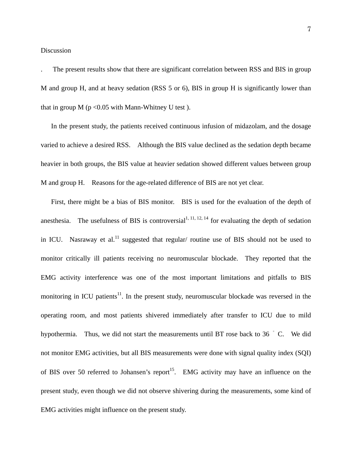#### Discussion

. The present results show that there are significant correlation between RSS and BIS in group M and group H, and at heavy sedation (RSS 5 or 6), BIS in group H is significantly lower than that in group  $M$  (p <0.05 with Mann-Whitney U test).

 In the present study, the patients received continuous infusion of midazolam, and the dosage varied to achieve a desired RSS. Although the BIS value declined as the sedation depth became heavier in both groups, the BIS value at heavier sedation showed different values between group M and group H. Reasons for the age-related difference of BIS are not yet clear.

 First, there might be a bias of BIS monitor. BIS is used for the evaluation of the depth of anesthesia. The usefulness of BIS is controversial<sup>1, 11, 12, 14</sup> for evaluating the depth of sedation in ICU. Nasraway et al.<sup>11</sup> suggested that regular/ routine use of BIS should not be used to monitor critically ill patients receiving no neuromuscular blockade. They reported that the EMG activity interference was one of the most important limitations and pitfalls to BIS monitoring in ICU patients<sup>11</sup>. In the present study, neuromuscular blockade was reversed in the operating room, and most patients shivered immediately after transfer to ICU due to mild hypothermia. Thus, we did not start the measurements until BT rose back to 36 °C. We did not monitor EMG activities, but all BIS measurements were done with signal quality index (SQI) of BIS over 50 referred to Johansen's report<sup>15</sup>. EMG activity may have an influence on the present study, even though we did not observe shivering during the measurements, some kind of EMG activities might influence on the present study.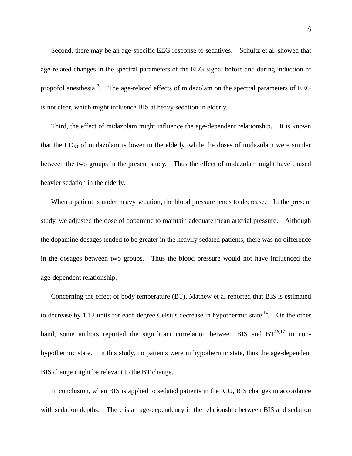Second, there may be an age-specific EEG response to sedatives. Schultz et al. showed that age-related changes in the spectral parameters of the EEG signal before and during induction of propofol anesthesia<sup>13</sup>. The age-related effects of midazolam on the spectral parameters of EEG is not clear, which might influence BIS at heavy sedation in elderly.

 Third, the effect of midazolam might influence the age-dependent relationship. It is known that the  $ED_{50}$  of midazolam is lower in the elderly, while the doses of midazolam were similar between the two groups in the present study. Thus the effect of midazolam might have caused heavier sedation in the elderly.

 When a patient is under heavy sedation, the blood pressure tends to decrease. In the present study, we adjusted the dose of dopamine to maintain adequate mean arterial pressure. Although the dopamine dosages tended to be greater in the heavily sedated patients, there was no difference in the dosages between two groups. Thus the blood pressure would not have influenced the age-dependent relationship.

 Concerning the effect of body temperature (BT), Mathew et al reported that BIS is estimated to decrease by 1.12 units for each degree Celsius decrease in hypothermic state  $14$ . On the other hand, some authors reported the significant correlation between BIS and  $BT^{16,17}$  in nonhypothermic state. In this study, no patients were in hypothermic state, thus the age-dependent BIS change might be relevant to the BT change.

 In conclusion, when BIS is applied to sedated patients in the ICU, BIS changes in accordance with sedation depths. There is an age-dependency in the relationship between BIS and sedation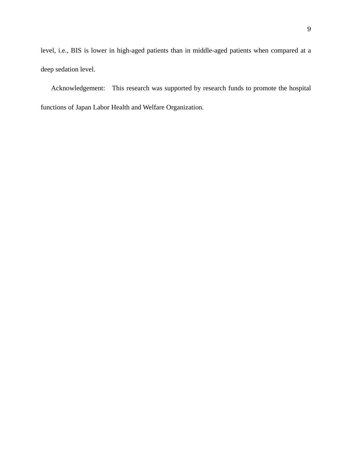level, i.e., BIS is lower in high-aged patients than in middle-aged patients when compared at a deep sedation level.

 Acknowledgement: This research was supported by research funds to promote the hospital functions of Japan Labor Health and Welfare Organization.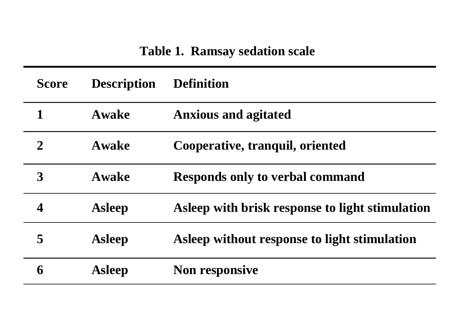# **Table 1. Ramsay sedation scale**

| <b>Score</b> | <b>Description</b> | <b>Definition</b>                               |
|--------------|--------------------|-------------------------------------------------|
| 1            | <b>Awake</b>       | <b>Anxious and agitated</b>                     |
| $\mathbf 2$  | <b>Awake</b>       | Cooperative, tranquil, oriented                 |
| 3            | <b>Awake</b>       | <b>Responds only to verbal command</b>          |
| 4            | <b>Asleep</b>      | Asleep with brisk response to light stimulation |
| 5            | <b>Asleep</b>      | Asleep without response to light stimulation    |
| 6            | <b>Asleep</b>      | <b>Non responsive</b>                           |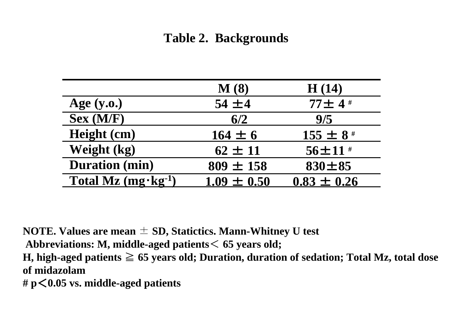## **Table 2. Backgrounds**

|                               | $\mathbf{M}$ (8) | H(14)           |
|-------------------------------|------------------|-----------------|
| Age $(y.o.)$                  | $54 \pm 4$       | $77 \pm 4$ #    |
| $Sex$ (M/F)                   | 6/2              | 9/5             |
| Height (cm)                   | $164 \pm 6$      | $155 \pm 8$ #   |
| Weight (kg)                   | $62 \pm 11$      | $56 \pm 11$ #   |
| <b>Duration</b> (min)         | $809 \pm 158$    | $830 \pm 85$    |
| Total Mz $(mg \cdot kg^{-1})$ | $1.09 \pm 0.50$  | $0.83 \pm 0.26$ |

**NOTE. Values are mean** ± **SD, Statictics. Mann-Whitney U test** 

**Abbreviations: M, middle-aged patients**< **65 years old;** 

**H, high-aged patients** ≧ **65 years old; Duration, duration of sedation; Total Mz, total dose of midazolam** 

**# p**<**0.05 vs. middle-aged patients**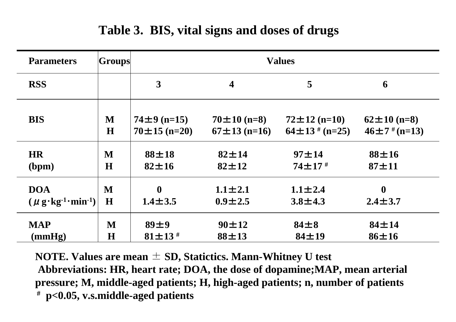# **Table 3. BIS, vital signs and doses of drugs**

| <b>Parameters</b>                                                    | <b>Groups</b> | <b>Values</b>      |                         |                      |                     |  |
|----------------------------------------------------------------------|---------------|--------------------|-------------------------|----------------------|---------------------|--|
| <b>RSS</b>                                                           |               | 3                  | $\overline{\mathbf{4}}$ | 5                    | 6                   |  |
| <b>BIS</b>                                                           | M             | $74 \pm 9$ (n=15)  | $70 \pm 10$ (n=8)       | $72 \pm 12$ (n=10)   | $62 \pm 10$ (n=8)   |  |
|                                                                      | H             | $70 \pm 15$ (n=20) | $67 \pm 13$ (n=16)      | $64 \pm 13$ # (n=25) | $46 \pm 7$ # (n=13) |  |
| <b>HR</b>                                                            | M             | $88 + 18$          | $82 \pm 14$             | $97 + 14$            | $88 + 16$           |  |
| (bpm)                                                                | H             | $82 \pm 16$        | $82 \pm 12$             | $74 \pm 17$ #        | $87 + 11$           |  |
| <b>DOA</b>                                                           | M             | $\mathbf{0}$       | $1.1 \pm 2.1$           | $1.1 \pm 2.4$        | $\boldsymbol{0}$    |  |
| $(\mu \, \text{g} \cdot \text{kg} \cdot 1 \cdot \text{min} \cdot 1)$ | H             | $1.4 \pm 3.5$      | $0.9 \pm 2.5$           | $3.8 \pm 4.3$        | $2.4 \pm 3.7$       |  |
| <b>MAP</b>                                                           | M             | 89±9               | $90 \pm 12$             | $84\pm8$             | $84 \pm 14$         |  |
| (mmHg)                                                               | $\bf H$       | $81 \pm 13$ #      | $88 \pm 13$             | $84 \pm 19$          | $86 \pm 16$         |  |

**NOTE. Values are mean**  ± **SD, Statictics. Mann-Whitney U test Abbreviations: HR, heart rate; DOA, the dose of dopamine;MAP, mean arterial pressure; M, middle-aged patients; H, high-aged patients; n, number of patients # p<0.05, v.s.middle-aged patients**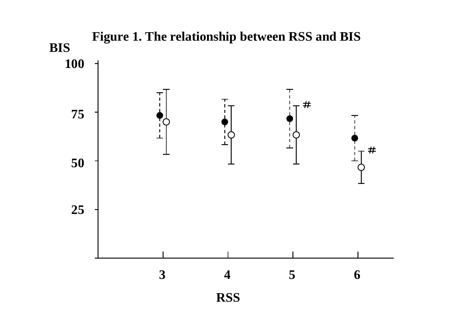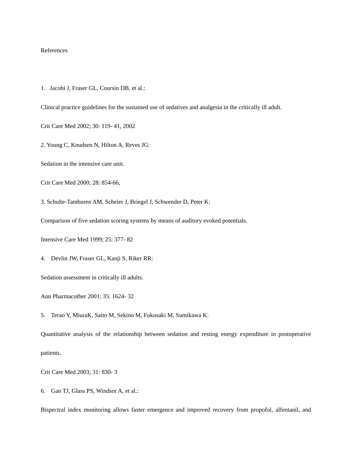#### References

1. Jacobi J, Fraser GL, Coursin DB, et al.:

Clinical practice guidelines for the sustained use of sedatives and analgesia in the critically ill adult.

Crit Care Med 2002; 30: 119- 41, 2002

2. Young C, Knudsen N, Hilton A, Reves JG:

Sedation in the intensive care unit.

Crit Care Med 2000; 28: 854-66,

3. Schulte-Tamburen AM, Scheier J, Briegel J, Schwender D, Peter K:

Comparison of five sedation scoring systems by means of auditory evoked potentials.

Intensive Care Med 1999; 25: 377- 82

4. Devlin JW, Fraser GL, Kanji S, Riker RR:

Sedation assessment in critically ill adults.

Ann Pharmacother 2001; 35: 1624- 32

5. Terao Y, MiuraK, Saito M, Sekino M, Fukusaki M, Sumikawa K:

Quantitative analysis of the relationship between sedation and resting energy expenditure in postoperative patients.

Crit Care Med 2003; 31: 830- 3

6. Gan TJ, Glass PS, Windsor A, et al.:

Bispectral index monitoring allows faster emergence and improved recovery from propofol, alfentanil, and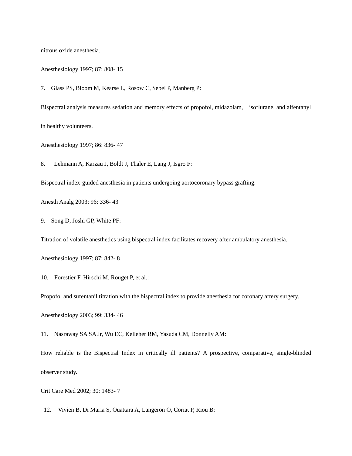nitrous oxide anesthesia.

Anesthesiology 1997; 87: 808- 15

7. Glass PS, Bloom M, Kearse L, Rosow C, Sebel P, Manberg P:

Bispectral analysis measures sedation and memory effects of propofol, midazolam, isoflurane, and alfentanyl in healthy volunteers.

Anesthesiology 1997; 86: 836- 47

8. Lehmann A, Karzau J, Boldt J, Thaler E, Lang J, Isgro F:

Bispectral index-guided anesthesia in patients undergoing aortocoronary bypass grafting.

Anesth Analg 2003; 96: 336- 43

9. Song D, Joshi GP, White PF:

Titration of volatile anesthetics using bispectral index facilitates recovery after ambulatory anesthesia.

Anesthesiology 1997; 87: 842- 8

10. Forestier F, Hirschi M, Rouget P, et al.:

Propofol and sufentanil titration with the bispectral index to provide anesthesia for coronary artery surgery.

Anesthesiology 2003; 99: 334- 46

11. Nasraway SA SA Jr, Wu EC, Kelleher RM, Yasuda CM, Donnelly AM:

How reliable is the Bispectral Index in critically ill patients? A prospective, comparative, single-blinded observer study.

Crit Care Med 2002; 30: 1483- 7

12. Vivien B, Di Maria S, Ouattara A, Langeron O, Coriat P, Riou B: